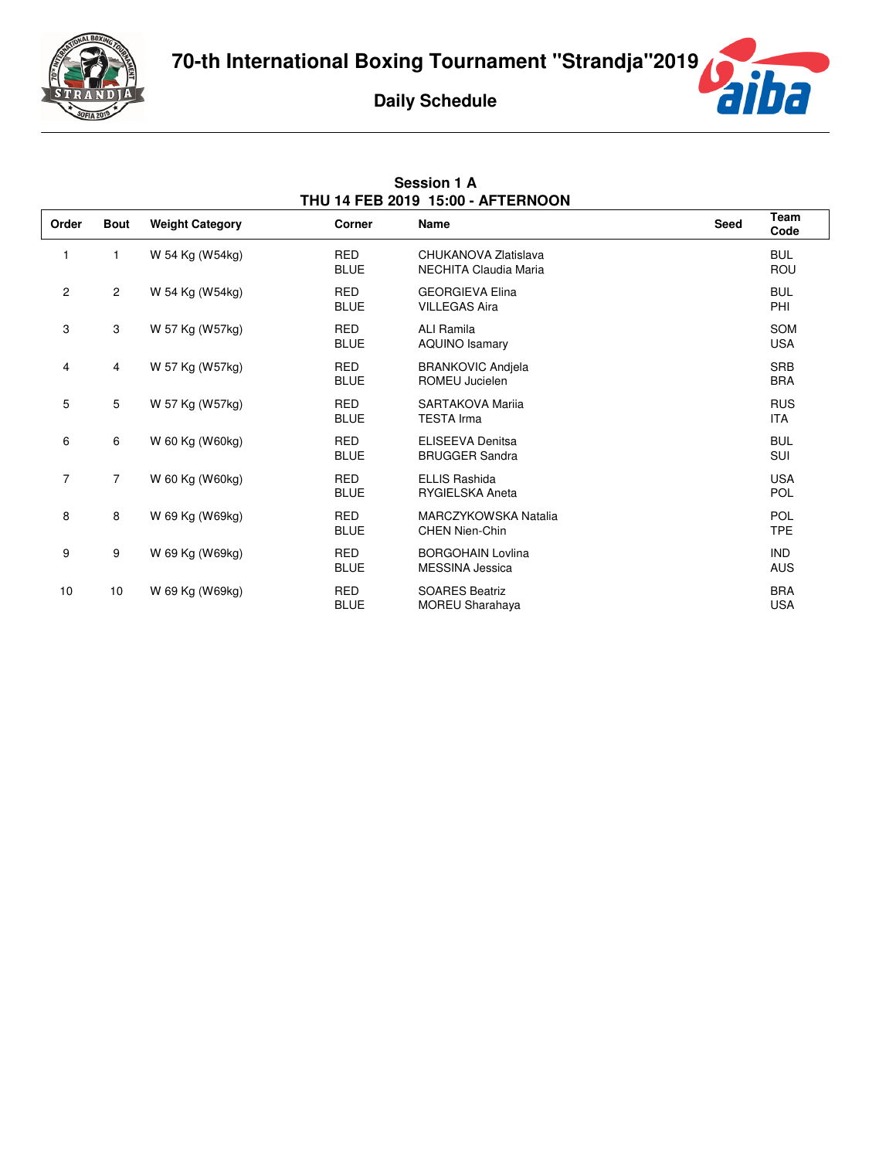

**Session 1 A**



| THU 14 FEB 2019 15:00 - AFTERNOON |                |                        |                           |                                                    |             |                          |
|-----------------------------------|----------------|------------------------|---------------------------|----------------------------------------------------|-------------|--------------------------|
| Order                             | <b>Bout</b>    | <b>Weight Category</b> | Corner                    | Name                                               | <b>Seed</b> | Team<br>Code             |
| 1                                 | 1              | W 54 Kg (W54kg)        | <b>RED</b><br><b>BLUE</b> | CHUKANOVA Zlatislava<br>NECHITA Claudia Maria      |             | <b>BUL</b><br><b>ROU</b> |
| 2                                 | $\overline{2}$ | W 54 Kg (W54kg)        | <b>RED</b><br><b>BLUE</b> | <b>GEORGIEVA Elina</b><br><b>VILLEGAS Aira</b>     |             | <b>BUL</b><br>PHI        |
| 3                                 | 3              | W 57 Kg (W57kg)        | <b>RED</b><br><b>BLUE</b> | ALI Ramila<br><b>AQUINO Isamary</b>                |             | SOM<br><b>USA</b>        |
| 4                                 | 4              | W 57 Kg (W57kg)        | <b>RED</b><br><b>BLUE</b> | <b>BRANKOVIC Andjela</b><br>ROMEU Jucielen         |             | <b>SRB</b><br><b>BRA</b> |
| 5                                 | 5              | W 57 Kg (W57kg)        | <b>RED</b><br><b>BLUE</b> | SARTAKOVA Marija<br><b>TESTA Irma</b>              |             | <b>RUS</b><br><b>ITA</b> |
| 6                                 | 6              | W 60 Kg (W60kg)        | RED<br><b>BLUE</b>        | <b>ELISEEVA Denitsa</b><br><b>BRUGGER Sandra</b>   |             | <b>BUL</b><br>SUI        |
| $\overline{7}$                    | $\overline{7}$ | W 60 Kg (W60kg)        | <b>RED</b><br><b>BLUE</b> | <b>ELLIS Rashida</b><br><b>RYGIELSKA Aneta</b>     |             | <b>USA</b><br><b>POL</b> |
| 8                                 | 8              | W 69 Kg (W69kg)        | <b>RED</b><br><b>BLUE</b> | MARCZYKOWSKA Natalia<br><b>CHEN Nien-Chin</b>      |             | <b>POL</b><br><b>TPE</b> |
| 9                                 | 9              | W 69 Kg (W69kg)        | RED<br><b>BLUE</b>        | <b>BORGOHAIN Lovlina</b><br><b>MESSINA Jessica</b> |             | <b>IND</b><br><b>AUS</b> |
| 10                                | 10             | W 69 Kg (W69kg)        | <b>RED</b><br><b>BLUE</b> | <b>SOARES Beatriz</b><br><b>MOREU Sharahaya</b>    |             | <b>BRA</b><br><b>USA</b> |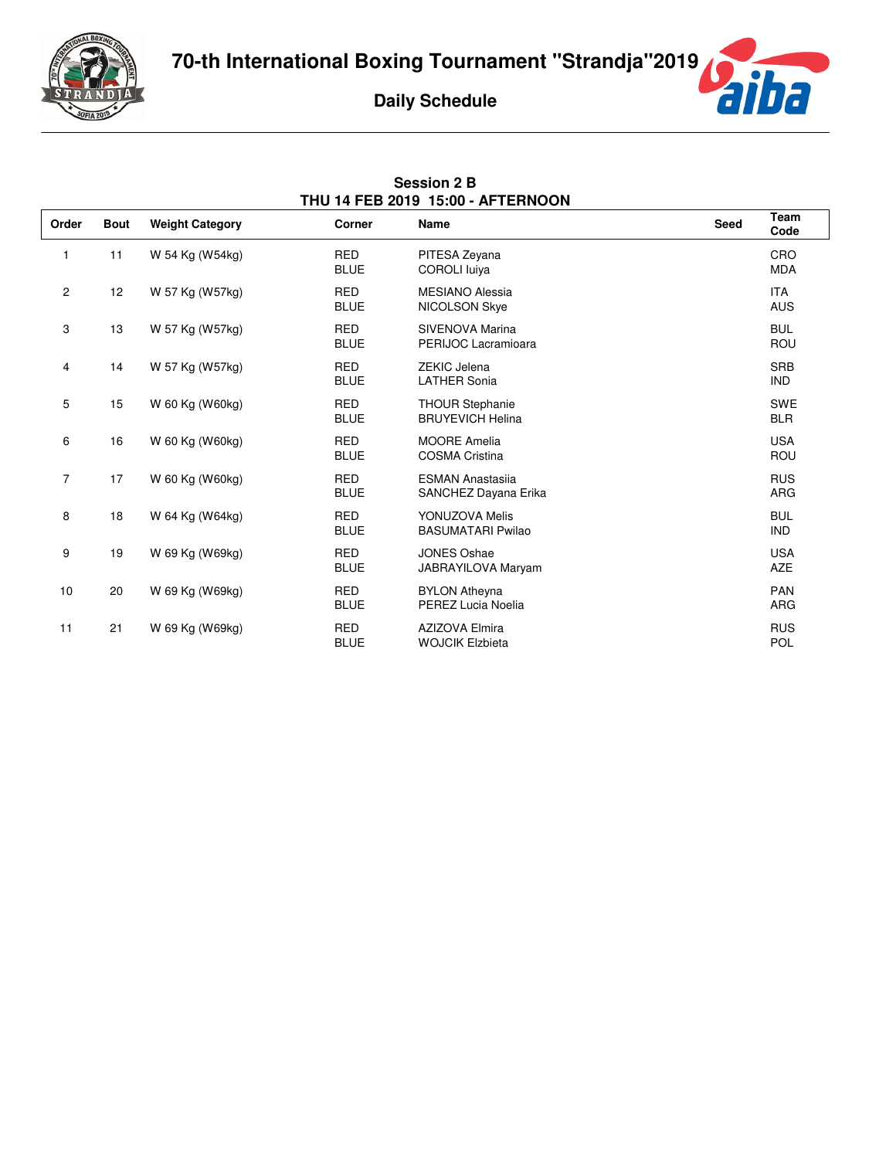

**Session 2 B**



| THU 14 FEB 2019 15:00 - AFTERNOON |             |                        |                           |                                                   |      |                          |
|-----------------------------------|-------------|------------------------|---------------------------|---------------------------------------------------|------|--------------------------|
| Order                             | <b>Bout</b> | <b>Weight Category</b> | Corner                    | Name                                              | Seed | Team<br>Code             |
| 1                                 | 11          | W 54 Kg (W54kg)        | <b>RED</b><br><b>BLUE</b> | PITESA Zeyana<br><b>COROLI</b> luiva              |      | CRO<br><b>MDA</b>        |
| $\overline{c}$                    | 12          | W 57 Kg (W57kg)        | <b>RED</b><br><b>BLUE</b> | <b>MESIANO Alessia</b><br>NICOLSON Skye           |      | <b>ITA</b><br><b>AUS</b> |
| 3                                 | 13          | W 57 Kg (W57kg)        | <b>RED</b><br><b>BLUE</b> | SIVENOVA Marina<br>PERIJOC Lacramioara            |      | <b>BUL</b><br>ROU        |
| 4                                 | 14          | W 57 Kg (W57kg)        | <b>RED</b><br><b>BLUE</b> | ZEKIC Jelena<br><b>LATHER Sonia</b>               |      | <b>SRB</b><br><b>IND</b> |
| 5                                 | 15          | W 60 Kg (W60kg)        | <b>RED</b><br><b>BLUE</b> | <b>THOUR Stephanie</b><br><b>BRUYEVICH Helina</b> |      | <b>SWE</b><br><b>BLR</b> |
| 6                                 | 16          | W 60 Kg (W60kg)        | <b>RED</b><br><b>BLUE</b> | <b>MOORE Amelia</b><br><b>COSMA Cristina</b>      |      | <b>USA</b><br>ROU        |
| 7                                 | 17          | W 60 Kg (W60kg)        | <b>RED</b><br><b>BLUE</b> | <b>ESMAN Anastasija</b><br>SANCHEZ Dayana Erika   |      | <b>RUS</b><br><b>ARG</b> |
| 8                                 | 18          | W 64 Kg (W64kg)        | <b>RED</b><br><b>BLUE</b> | YONUZOVA Melis<br><b>BASUMATARI Pwilao</b>        |      | <b>BUL</b><br><b>IND</b> |
| 9                                 | 19          | W 69 Kg (W69kg)        | <b>RED</b><br><b>BLUE</b> | <b>JONES Oshae</b><br>JABRAYILOVA Maryam          |      | <b>USA</b><br><b>AZE</b> |
| 10                                | 20          | W 69 Kg (W69kg)        | <b>RED</b><br><b>BLUE</b> | <b>BYLON Atheyna</b><br>PEREZ Lucia Noelia        |      | <b>PAN</b><br><b>ARG</b> |
| 11                                | 21          | W 69 Kg (W69kg)        | <b>RED</b><br><b>BLUE</b> | <b>AZIZOVA Elmira</b><br><b>WOJCIK Elzbieta</b>   |      | <b>RUS</b><br>POL        |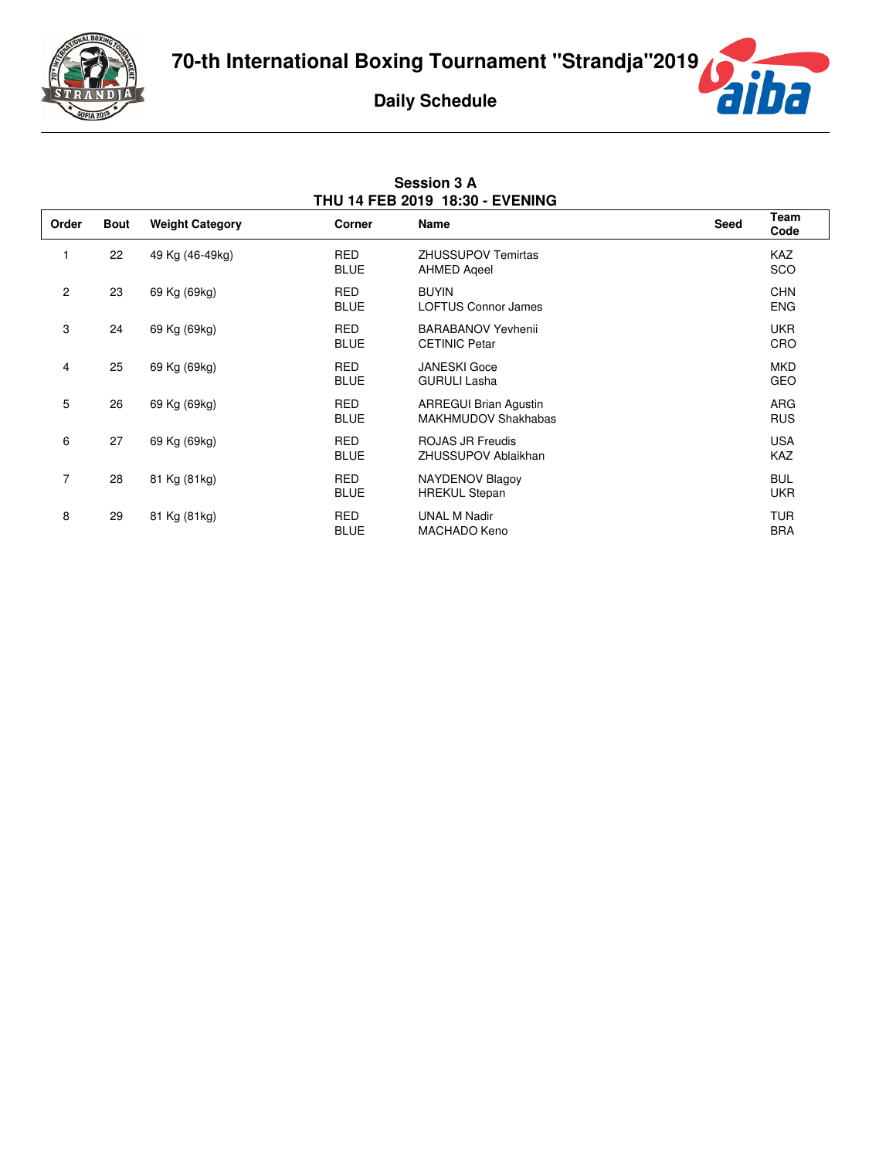



| <b>Session 3 A</b>                     |  |  |  |  |  |  |
|----------------------------------------|--|--|--|--|--|--|
| <b>THU 14 FEB 2019 18:30 - EVENING</b> |  |  |  |  |  |  |

| Order          | <b>Bout</b> | <b>Weight Category</b> | Corner                    | <b>Name</b>                                                | Seed | Team<br>Code             |
|----------------|-------------|------------------------|---------------------------|------------------------------------------------------------|------|--------------------------|
|                | 22          | 49 Kg (46-49kg)        | <b>RED</b><br><b>BLUE</b> | <b>ZHUSSUPOV Temirtas</b><br><b>AHMED Ageel</b>            |      | <b>KAZ</b><br><b>SCO</b> |
| $\mathbf{2}$   | 23          | 69 Kg (69kg)           | <b>RED</b><br><b>BLUE</b> | <b>BUYIN</b><br><b>LOFTUS Connor James</b>                 |      | <b>CHN</b><br><b>ENG</b> |
| 3              | 24          | 69 Kg (69kg)           | <b>RED</b><br><b>BLUE</b> | <b>BARABANOV Yevhenii</b><br><b>CETINIC Petar</b>          |      | <b>UKR</b><br>CRO        |
| 4              | 25          | 69 Kg (69kg)           | <b>RED</b><br><b>BLUE</b> | <b>JANESKI</b> Goce<br><b>GURULI Lasha</b>                 |      | <b>MKD</b><br>GEO        |
| 5              | 26          | 69 Kg (69kg)           | <b>RED</b><br><b>BLUE</b> | <b>ARREGUI Brian Agustin</b><br><b>MAKHMUDOV Shakhabas</b> |      | <b>ARG</b><br><b>RUS</b> |
| 6              | 27          | 69 Kg (69kg)           | <b>RED</b><br><b>BLUE</b> | <b>ROJAS JR Freudis</b><br>ZHUSSUPOV Ablaikhan             |      | <b>USA</b><br><b>KAZ</b> |
| $\overline{7}$ | 28          | 81 Kg (81kg)           | <b>RED</b><br><b>BLUE</b> | <b>NAYDENOV Blagoy</b><br><b>HREKUL Stepan</b>             |      | <b>BUL</b><br><b>UKR</b> |
| 8              | 29          | 81 Kg (81kg)           | <b>RED</b><br><b>BLUE</b> | <b>UNAL M Nadir</b><br>MACHADO Keno                        |      | <b>TUR</b><br><b>BRA</b> |